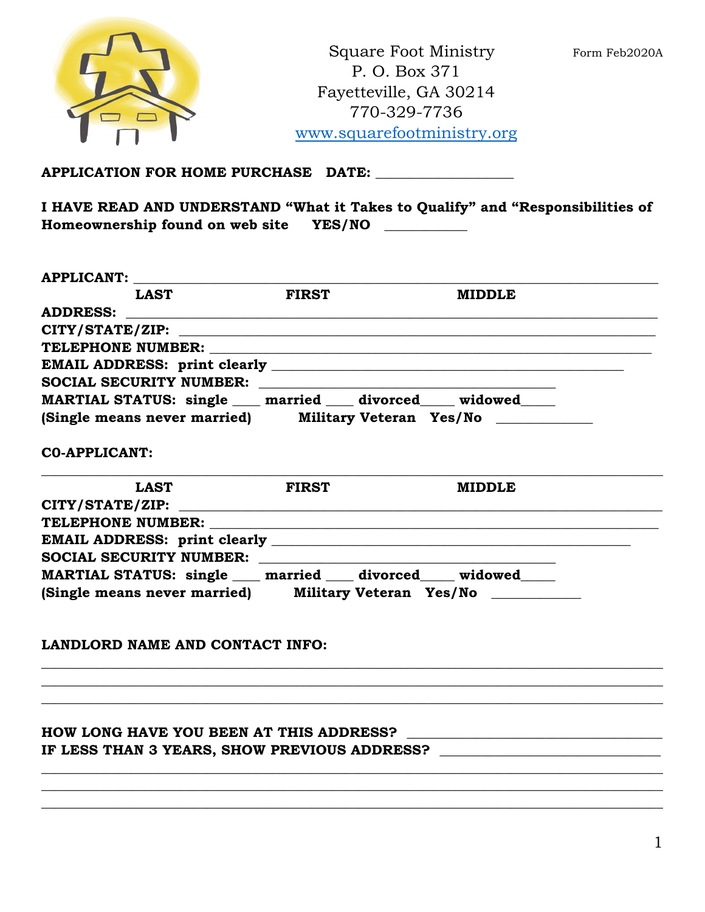|                                                                                                                          |              | Square Foot Ministry<br>P. O. Box 371<br>Fayetteville, GA 30214<br>770-329-7736<br>www.squarefootministry.org | Form Feb2020A |  |  |
|--------------------------------------------------------------------------------------------------------------------------|--------------|---------------------------------------------------------------------------------------------------------------|---------------|--|--|
| APPLICATION FOR HOME PURCHASE DATE:                                                                                      |              |                                                                                                               |               |  |  |
| I HAVE READ AND UNDERSTAND "What it Takes to Qualify" and "Responsibilities of<br>Homeownership found on web site YES/NO |              |                                                                                                               |               |  |  |
|                                                                                                                          |              |                                                                                                               |               |  |  |
| <b>LAST</b>                                                                                                              | <b>FIRST</b> | <b>MIDDLE</b>                                                                                                 |               |  |  |
|                                                                                                                          |              |                                                                                                               |               |  |  |
|                                                                                                                          |              |                                                                                                               |               |  |  |
|                                                                                                                          |              |                                                                                                               |               |  |  |
| SOCIAL SECURITY NUMBER:                                                                                                  |              |                                                                                                               |               |  |  |
| MARTIAL STATUS: single ___ married ___ divorced____ widowed____                                                          |              |                                                                                                               |               |  |  |
| (Single means never married) Military Veteran Yes/No ____________________________                                        |              |                                                                                                               |               |  |  |
| <b>CO-APPLICANT:</b>                                                                                                     |              |                                                                                                               |               |  |  |
| <b>LAST</b>                                                                                                              | <b>FIRST</b> | <b>MIDDLE</b>                                                                                                 |               |  |  |
| CITY/STATE/ZIP: New York of the CITY/STATE/ZIP:                                                                          |              |                                                                                                               |               |  |  |
|                                                                                                                          |              |                                                                                                               |               |  |  |
|                                                                                                                          |              |                                                                                                               |               |  |  |
| MARTIAL STATUS: single ___ married ___ divorced ___ widowed ___                                                          |              |                                                                                                               |               |  |  |
| (Single means never married) Military Veteran Yes/No ____________                                                        |              |                                                                                                               |               |  |  |
| LANDLORD NAME AND CONTACT INFO:                                                                                          |              |                                                                                                               |               |  |  |
|                                                                                                                          |              |                                                                                                               |               |  |  |
|                                                                                                                          |              |                                                                                                               |               |  |  |
|                                                                                                                          |              |                                                                                                               |               |  |  |
|                                                                                                                          |              |                                                                                                               |               |  |  |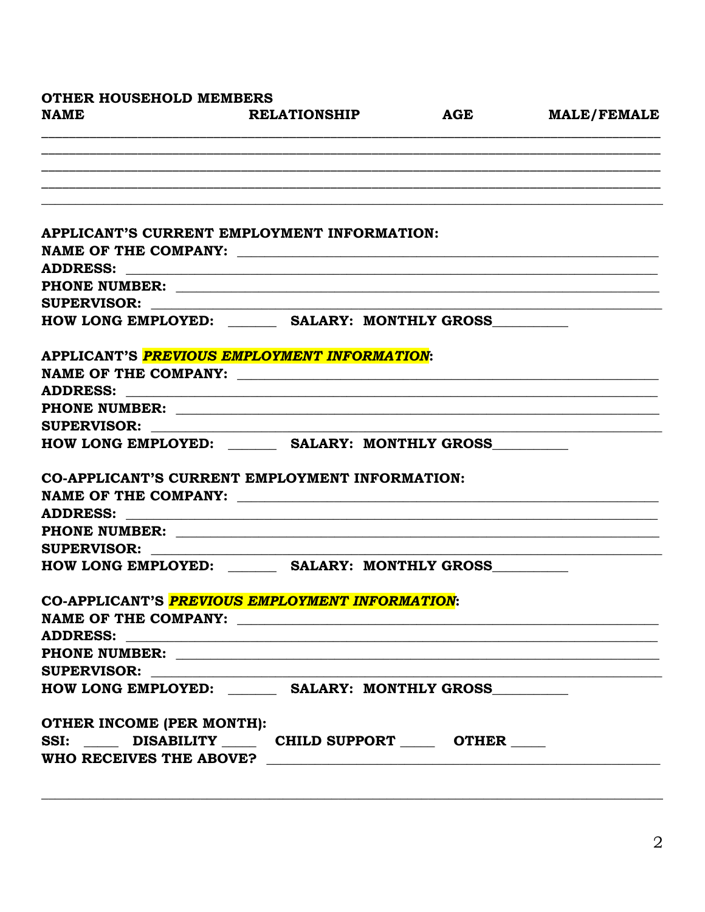## **OTHER HOUSEHOLD MEMBERS** DEI ATIONSUID **NI A MED**

|                                                              | ,我们的人们就会在这里,我们的人们都会在这里,我们的人们都会在这里,我们的人们就会在这里,我们的人们就会在这里,我们的人们就会在这里,我们的人们就会在这里,我们 |                                                                                           |
|--------------------------------------------------------------|----------------------------------------------------------------------------------|-------------------------------------------------------------------------------------------|
|                                                              |                                                                                  |                                                                                           |
| APPLICANT'S CURRENT EMPLOYMENT INFORMATION:                  |                                                                                  |                                                                                           |
|                                                              |                                                                                  |                                                                                           |
|                                                              |                                                                                  |                                                                                           |
|                                                              |                                                                                  |                                                                                           |
| HOW LONG EMPLOYED: SALARY: MONTHLY GROSS                     |                                                                                  |                                                                                           |
| APPLICANT'S PREVIOUS EMPLOYMENT INFORMATION:                 |                                                                                  |                                                                                           |
|                                                              |                                                                                  |                                                                                           |
|                                                              |                                                                                  |                                                                                           |
|                                                              |                                                                                  |                                                                                           |
| HOW LONG EMPLOYED: SALARY: MONTHLY GROSS                     |                                                                                  | the control of the control of the control of the control of the control of the control of |
|                                                              |                                                                                  |                                                                                           |
| CO-APPLICANT'S CURRENT EMPLOYMENT INFORMATION:               |                                                                                  |                                                                                           |
|                                                              |                                                                                  |                                                                                           |
|                                                              |                                                                                  |                                                                                           |
|                                                              |                                                                                  | the control of the control of the control of the control of the control of the control of |
| HOW LONG EMPLOYED: _________ SALARY: MONTHLY GROSS__________ |                                                                                  |                                                                                           |
| CO-APPLICANT'S PREVIOUS EMPLOYMENT INFORMATION:              |                                                                                  |                                                                                           |
| <b>NAME OF THE COMPANY:</b>                                  |                                                                                  |                                                                                           |
|                                                              |                                                                                  |                                                                                           |
|                                                              |                                                                                  |                                                                                           |
| SUPERVISOR: <u>_______________________</u>                   |                                                                                  |                                                                                           |
| HOW LONG EMPLOYED: _________ SALARY: MONTHLY GROSS_          |                                                                                  |                                                                                           |
| <b>OTHER INCOME (PER MONTH):</b>                             |                                                                                  |                                                                                           |
| SSI: ____ DISABILITY ____ CHILD SUPPORT ____ OTHER ____      |                                                                                  |                                                                                           |
| WHO RECEIVES THE ABOVE?                                      |                                                                                  |                                                                                           |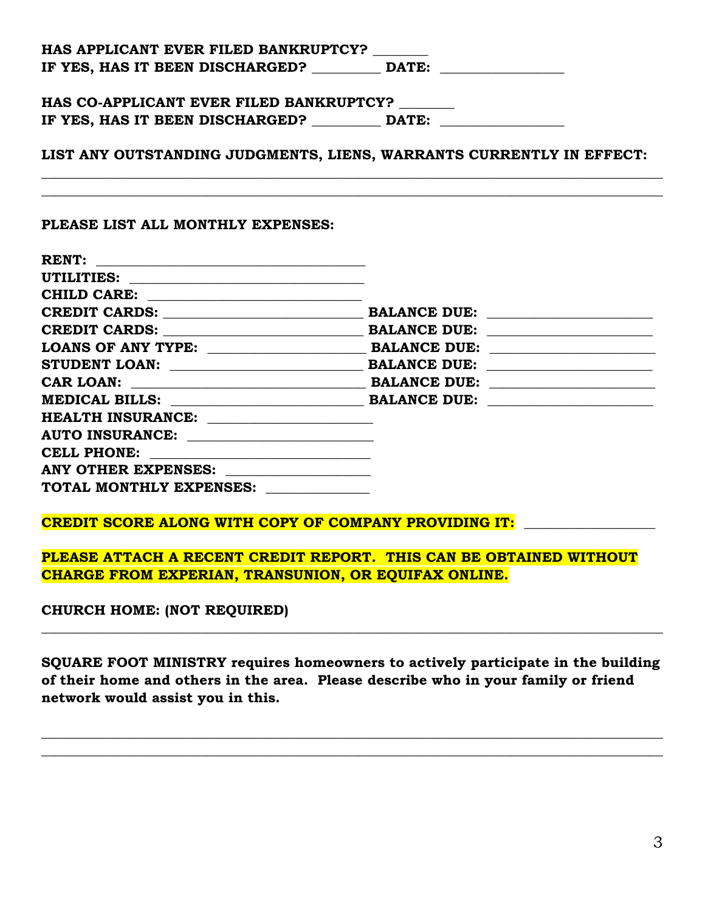| HAS APPLICANT EVER FILED BANKRUPTCY?                                             |  |  |  |  |  |
|----------------------------------------------------------------------------------|--|--|--|--|--|
| IF YES, HAS IT BEEN DISCHARGED? __________ DATE: _______________________________ |  |  |  |  |  |
| HAS CO-APPLICANT EVER FILED BANKRUPTCY?                                          |  |  |  |  |  |
| IF YES, HAS IT BEEN DISCHARGED? __________ DATE: _______________________________ |  |  |  |  |  |
| LIST ANY OUTSTANDING JUDGMENTS, LIENS, WARRANTS CURRENTLY IN EFFECT:             |  |  |  |  |  |
| PLEASE LIST ALL MONTHLY EXPENSES:                                                |  |  |  |  |  |
|                                                                                  |  |  |  |  |  |
|                                                                                  |  |  |  |  |  |
|                                                                                  |  |  |  |  |  |
|                                                                                  |  |  |  |  |  |
|                                                                                  |  |  |  |  |  |
|                                                                                  |  |  |  |  |  |
|                                                                                  |  |  |  |  |  |
|                                                                                  |  |  |  |  |  |
|                                                                                  |  |  |  |  |  |
|                                                                                  |  |  |  |  |  |
| AUTO INSURANCE:                                                                  |  |  |  |  |  |
|                                                                                  |  |  |  |  |  |
|                                                                                  |  |  |  |  |  |
| TOTAL MONTHLY EXPENSES: NATIONAL MONTHLY                                         |  |  |  |  |  |

## **CREDIT SCORE ALONG WITH COPY OF COMPANY PROVIDING IT:**

**PLEASE ATTACH A RECENT CREDIT REPORT. THIS CAN BE OBTAINED WITHOUT CHARGE FROM EXPERIAN, TRANSUNION, OR EQUIFAX ONLINE.** 

**CHURCH HOME: (NOT REQUIRED)** 

**SQUARE FOOT MINISTRY requires homeowners to actively participate in the building of their home and others in the area. Please describe who in your family or friend network would assist you in this.** 

 $\_$  , and the contribution of the contribution of  $\mathcal{L}$  , and  $\mathcal{L}$  , and  $\mathcal{L}$  , and  $\mathcal{L}$  , and  $\mathcal{L}$ \_\_\_\_\_\_\_\_\_\_\_\_\_\_\_\_\_\_\_\_\_\_\_\_\_\_\_\_\_\_\_\_\_\_\_\_\_\_\_\_\_\_\_\_\_\_\_\_\_\_\_\_\_\_\_\_\_\_\_\_\_\_\_\_\_\_\_\_\_\_\_\_\_\_\_\_\_\_\_\_\_\_\_\_\_\_\_\_\_\_

**\_\_\_\_\_\_\_\_\_\_\_\_\_\_\_\_\_\_\_\_\_\_\_\_\_\_\_\_\_\_\_\_\_\_\_\_\_\_\_\_\_\_\_\_\_\_\_\_\_\_\_\_\_\_\_\_\_\_\_\_\_\_\_\_\_\_\_\_\_\_\_\_\_\_\_\_\_\_\_\_\_\_\_\_\_\_\_\_\_\_**